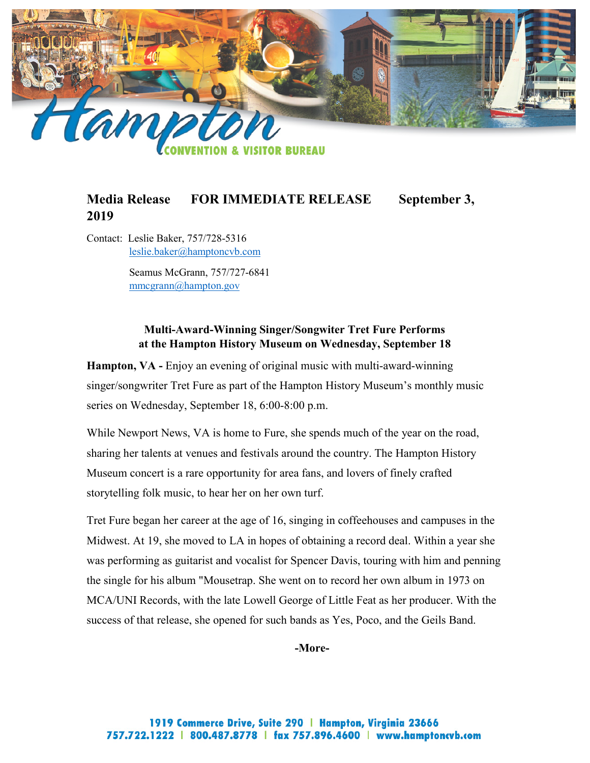

# **Media Release FOR IMMEDIATE RELEASE September 3, 2019**

Contact: Leslie Baker, 757/728-5316 [leslie.baker@hamptoncvb.com](mailto:leslie.baker@hamptoncvb.com)

> Seamus McGrann, 757/727-6841 [mmcgrann@hampton.gov](mailto:mmcgrann@hampton.gov)

#### **Multi-Award-Winning Singer/Songwiter Tret Fure Performs at the Hampton History Museum on Wednesday, September 18**

**Hampton, VA -** Enjoy an evening of original music with multi-award-winning singer/songwriter Tret Fure as part of the Hampton History Museum's monthly music series on Wednesday, September 18, 6:00-8:00 p.m.

While Newport News, VA is home to Fure, she spends much of the year on the road, sharing her talents at venues and festivals around the country. The Hampton History Museum concert is a rare opportunity for area fans, and lovers of finely crafted storytelling folk music, to hear her on her own turf.

Tret Fure began her career at the age of 16, singing in coffeehouses and campuses in the Midwest. At 19, she moved to LA in hopes of obtaining a record deal. Within a year she was performing as guitarist and vocalist for Spencer Davis, touring with him and penning the single for his album "Mousetrap. She went on to record her own album in 1973 on MCA/UNI Records, with the late Lowell George of Little Feat as her producer. With the success of that release, she opened for such bands as Yes, Poco, and the Geils Band.

**-More-**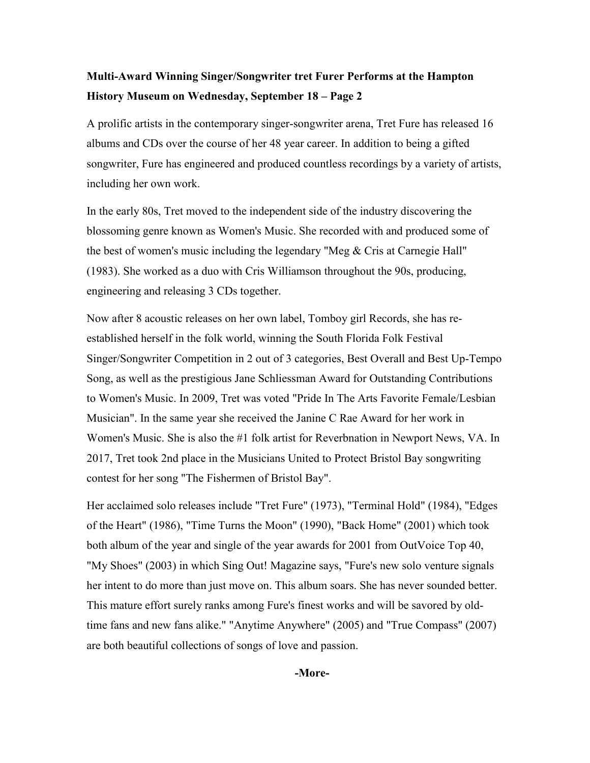# **Multi-Award Winning Singer/Songwriter tret Furer Performs at the Hampton History Museum on Wednesday, September 18 – Page 2**

A prolific artists in the contemporary singer-songwriter arena, Tret Fure has released 16 albums and CDs over the course of her 48 year career. In addition to being a gifted songwriter, Fure has engineered and produced countless recordings by a variety of artists, including her own work.

In the early 80s, Tret moved to the independent side of the industry discovering the blossoming genre known as Women's Music. She recorded with and produced some of the best of women's music including the legendary "Meg & Cris at Carnegie Hall" (1983). She worked as a duo with Cris Williamson throughout the 90s, producing, engineering and releasing 3 CDs together.

Now after 8 acoustic releases on her own label, Tomboy girl Records, she has reestablished herself in the folk world, winning the South Florida Folk Festival Singer/Songwriter Competition in 2 out of 3 categories, Best Overall and Best Up-Tempo Song, as well as the prestigious Jane Schliessman Award for Outstanding Contributions to Women's Music. In 2009, Tret was voted "Pride In The Arts Favorite Female/Lesbian Musician". In the same year she received the Janine C Rae Award for her work in Women's Music. She is also the #1 folk artist for Reverbnation in Newport News, VA. In 2017, Tret took 2nd place in the Musicians United to Protect Bristol Bay songwriting contest for her song "The Fishermen of Bristol Bay".

Her acclaimed solo releases include "Tret Fure" (1973), "Terminal Hold" (1984), "Edges of the Heart" (1986), "Time Turns the Moon" (1990), "Back Home" (2001) which took both album of the year and single of the year awards for 2001 from OutVoice Top 40, "My Shoes" (2003) in which Sing Out! Magazine says, "Fure's new solo venture signals her intent to do more than just move on. This album soars. She has never sounded better. This mature effort surely ranks among Fure's finest works and will be savored by oldtime fans and new fans alike." "Anytime Anywhere" (2005) and "True Compass" (2007) are both beautiful collections of songs of love and passion.

**-More-**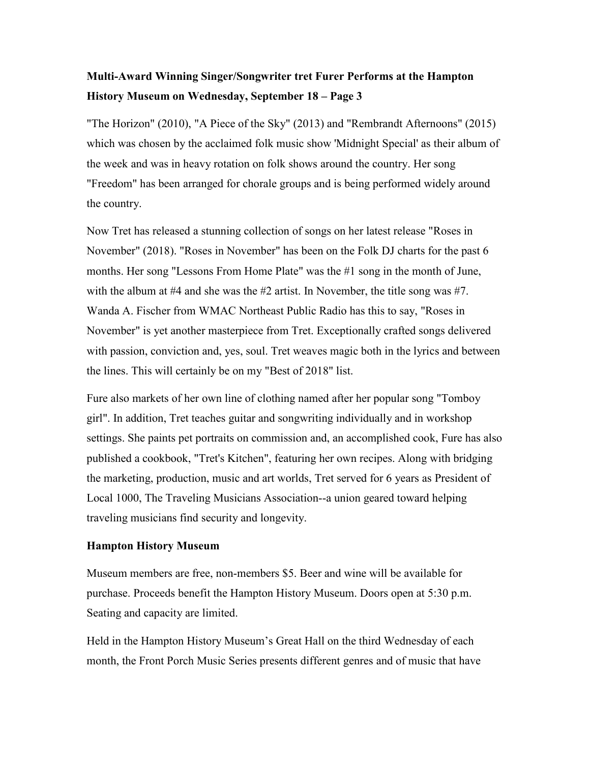# **Multi-Award Winning Singer/Songwriter tret Furer Performs at the Hampton History Museum on Wednesday, September 18 – Page 3**

"The Horizon" (2010), "A Piece of the Sky" (2013) and "Rembrandt Afternoons" (2015) which was chosen by the acclaimed folk music show 'Midnight Special' as their album of the week and was in heavy rotation on folk shows around the country. Her song "Freedom" has been arranged for chorale groups and is being performed widely around the country.

Now Tret has released a stunning collection of songs on her latest release "Roses in November" (2018). "Roses in November" has been on the Folk DJ charts for the past 6 months. Her song "Lessons From Home Plate" was the #1 song in the month of June, with the album at #4 and she was the #2 artist. In November, the title song was #7. Wanda A. Fischer from WMAC Northeast Public Radio has this to say, "Roses in November" is yet another masterpiece from Tret. Exceptionally crafted songs delivered with passion, conviction and, yes, soul. Tret weaves magic both in the lyrics and between the lines. This will certainly be on my "Best of 2018" list.

Fure also markets of her own line of clothing named after her popular song "Tomboy girl". In addition, Tret teaches guitar and songwriting individually and in workshop settings. She paints pet portraits on commission and, an accomplished cook, Fure has also published a cookbook, "Tret's Kitchen", featuring her own recipes. Along with bridging the marketing, production, music and art worlds, Tret served for 6 years as President of Local 1000, The Traveling Musicians Association--a union geared toward helping traveling musicians find security and longevity.

#### **Hampton History Museum**

Museum members are free, non-members \$5. Beer and wine will be available for purchase. Proceeds benefit the Hampton History Museum. Doors open at 5:30 p.m. Seating and capacity are limited.

Held in the Hampton History Museum's Great Hall on the third Wednesday of each month, the Front Porch Music Series presents different genres and of music that have